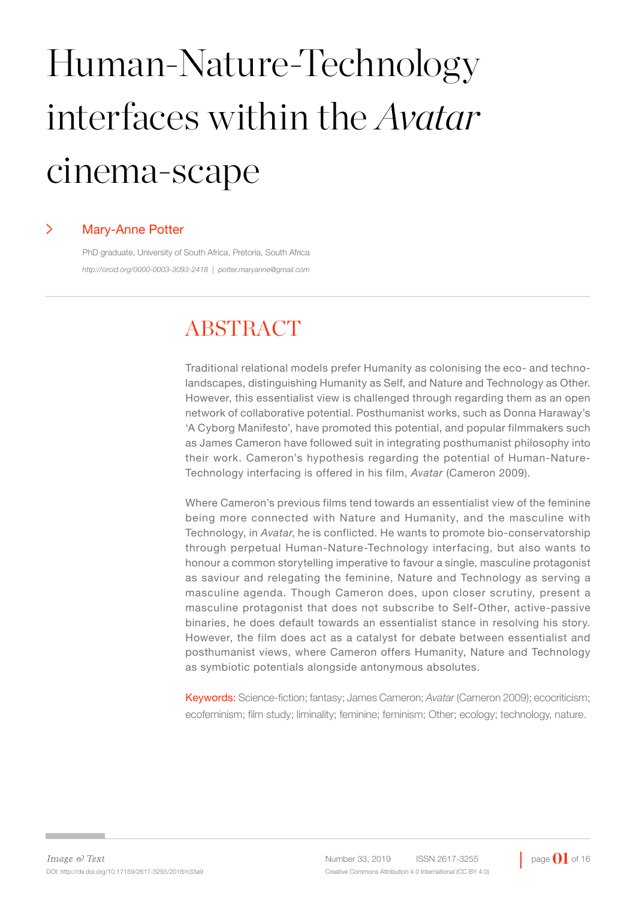# Human-Nature-Technology interfaces within the *Avatar* cinema-scape

#### > Mary-Anne Potter

PhD graduate, University of South Africa, Pretoria, South Africa *http://orcid.org/0000-0003-3093-2418 | potter.maryanne@gmail.com*

# **ABSTRACT**

Traditional relational models prefer Humanity as colonising the eco- and technolandscapes, distinguishing Humanity as Self, and Nature and Technology as Other. However, this essentialist view is challenged through regarding them as an open network of collaborative potential. Posthumanist works, such as Donna Haraway's 'A Cyborg Manifesto', have promoted this potential, and popular filmmakers such as James Cameron have followed suit in integrating posthumanist philosophy into their work. Cameron's hypothesis regarding the potential of Human-Nature-Technology interfacing is offered in his film, *Avatar* (Cameron 2009).

Where Cameron's previous films tend towards an essentialist view of the feminine being more connected with Nature and Humanity, and the masculine with Technology, in *Avatar*, he is conflicted. He wants to promote bio-conservatorship through perpetual Human-Nature-Technology interfacing, but also wants to honour a common storytelling imperative to favour a single, masculine protagonist as saviour and relegating the feminine, Nature and Technology as serving a masculine agenda. Though Cameron does, upon closer scrutiny, present a masculine protagonist that does not subscribe to Self-Other, active-passive binaries, he does default towards an essentialist stance in resolving his story. However, the film does act as a catalyst for debate between essentialist and posthumanist views, where Cameron offers Humanity, Nature and Technology as symbiotic potentials alongside antonymous absolutes.

Keywords: Science-fiction; fantasy; James Cameron; *Avatar* (Cameron 2009); ecocriticism; ecofeminism; film study; liminality; feminine; feminism; Other; ecology; technology, nature.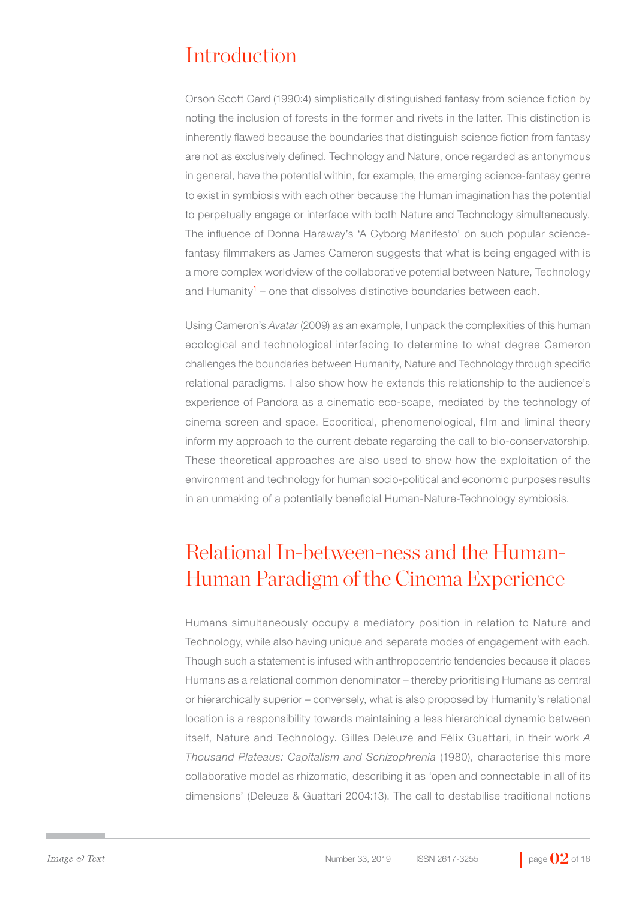# Introduction

Orson Scott Card (1990:4) simplistically distinguished fantasy from science fiction by noting the inclusion of forests in the former and rivets in the latter. This distinction is inherently flawed because the boundaries that distinguish science fiction from fantasy are not as exclusively defined. Technology and Nature, once regarded as antonymous in general, have the potential within, for example, the emerging science-fantasy genre to exist in symbiosis with each other because the Human imagination has the potential to perpetually engage or interface with both Nature and Technology simultaneously. The influence of Donna Haraway's 'A Cyborg Manifesto' on such popular sciencefantasy filmmakers as James Cameron suggests that what is being engaged with is a more complex worldview of the collaborative potential between Nature, Technology and Humanity<sup>1</sup> – one that dissolves distinctive boundaries between each.

Using Cameron's *Avatar* (2009) as an example, I unpack the complexities of this human ecological and technological interfacing to determine to what degree Cameron challenges the boundaries between Humanity, Nature and Technology through specific relational paradigms. I also show how he extends this relationship to the audience's experience of Pandora as a cinematic eco-scape, mediated by the technology of cinema screen and space. Ecocritical, phenomenological, film and liminal theory inform my approach to the current debate regarding the call to bio-conservatorship. These theoretical approaches are also used to show how the exploitation of the environment and technology for human socio-political and economic purposes results in an unmaking of a potentially beneficial Human-Nature-Technology symbiosis.

# Relational In-between-ness and the Human-Human Paradigm of the Cinema Experience

Humans simultaneously occupy a mediatory position in relation to Nature and Technology, while also having unique and separate modes of engagement with each. Though such a statement is infused with anthropocentric tendencies because it places Humans as a relational common denominator – thereby prioritising Humans as central or hierarchically superior – conversely, what is also proposed by Humanity's relational location is a responsibility towards maintaining a less hierarchical dynamic between itself, Nature and Technology. Gilles Deleuze and Félix Guattari, in their work *A Thousand Plateaus: Capitalism and Schizophrenia* (1980), characterise this more collaborative model as rhizomatic, describing it as 'open and connectable in all of its dimensions' (Deleuze & Guattari 2004:13). The call to destabilise traditional notions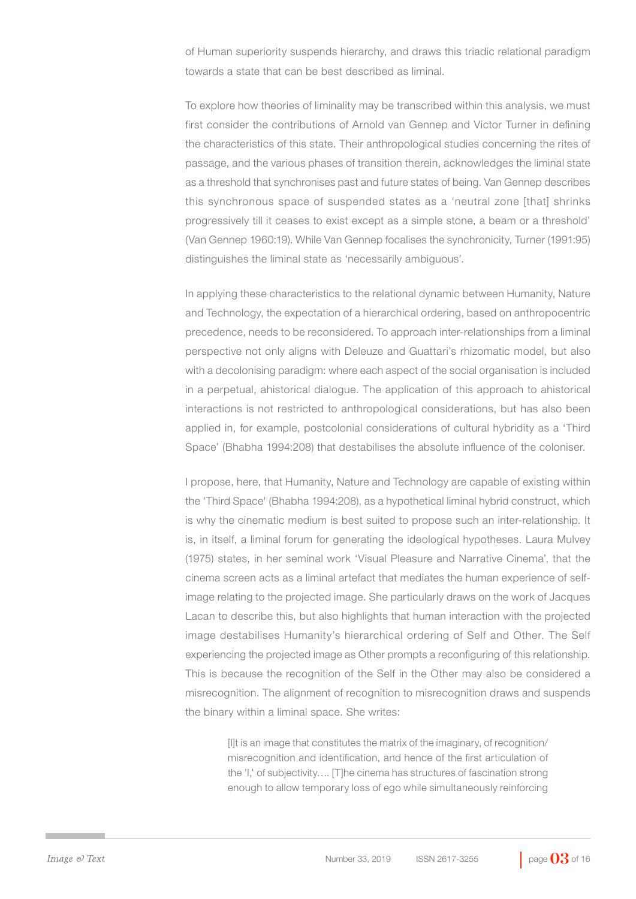of Human superiority suspends hierarchy, and draws this triadic relational paradigm towards a state that can be best described as liminal.

To explore how theories of liminality may be transcribed within this analysis, we must first consider the contributions of Arnold van Gennep and Victor Turner in defining the characteristics of this state. Their anthropological studies concerning the rites of passage, and the various phases of transition therein, acknowledges the liminal state as a threshold that synchronises past and future states of being. Van Gennep describes this synchronous space of suspended states as a 'neutral zone [that] shrinks progressively till it ceases to exist except as a simple stone, a beam or a threshold' (Van Gennep 1960:19). While Van Gennep focalises the synchronicity, Turner (1991:95) distinguishes the liminal state as 'necessarily ambiguous'.

In applying these characteristics to the relational dynamic between Humanity, Nature and Technology, the expectation of a hierarchical ordering, based on anthropocentric precedence, needs to be reconsidered. To approach inter-relationships from a liminal perspective not only aligns with Deleuze and Guattari's rhizomatic model, but also with a decolonising paradigm: where each aspect of the social organisation is included in a perpetual, ahistorical dialogue. The application of this approach to ahistorical interactions is not restricted to anthropological considerations, but has also been applied in, for example, postcolonial considerations of cultural hybridity as a 'Third Space' (Bhabha 1994:208) that destabilises the absolute influence of the coloniser.

I propose, here, that Humanity, Nature and Technology are capable of existing within the 'Third Space' (Bhabha 1994:208), as a hypothetical liminal hybrid construct, which is why the cinematic medium is best suited to propose such an inter-relationship. It is, in itself, a liminal forum for generating the ideological hypotheses. Laura Mulvey (1975) states, in her seminal work 'Visual Pleasure and Narrative Cinema', that the cinema screen acts as a liminal artefact that mediates the human experience of selfimage relating to the projected image. She particularly draws on the work of Jacques Lacan to describe this, but also highlights that human interaction with the projected image destabilises Humanity's hierarchical ordering of Self and Other. The Self experiencing the projected image as Other prompts a reconfiguring of this relationship. This is because the recognition of the Self in the Other may also be considered a misrecognition. The alignment of recognition to misrecognition draws and suspends the binary within a liminal space. She writes:

> [I]t is an image that constitutes the matrix of the imaginary, of recognition/ misrecognition and identification, and hence of the first articulation of the 'I,' of subjectivity…. [T]he cinema has structures of fascination strong enough to allow temporary loss of ego while simultaneously reinforcing

Number 33, 2019 **ISSN 2617-3255** page **03** of 16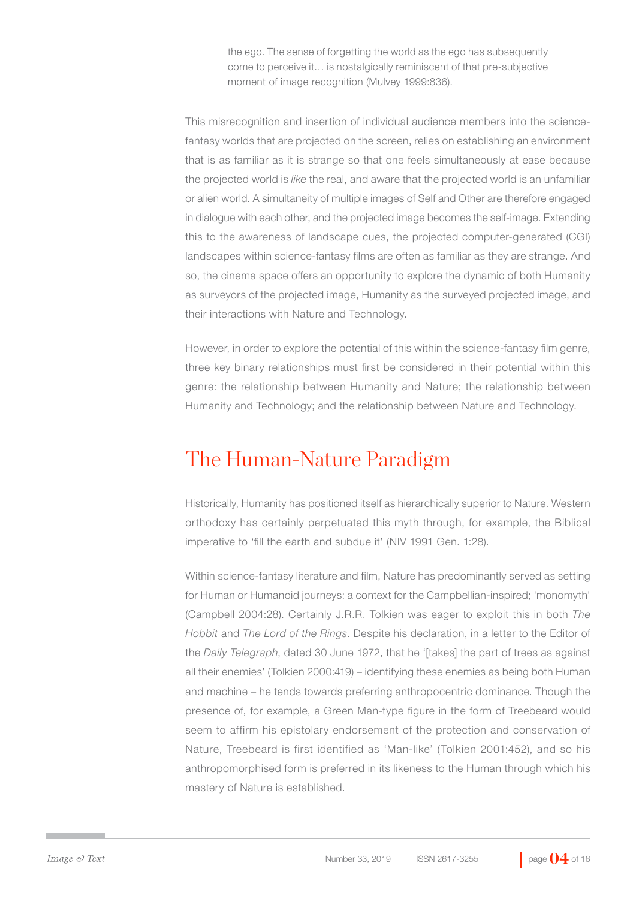the ego. The sense of forgetting the world as the ego has subsequently come to perceive it… is nostalgically reminiscent of that pre-subjective moment of image recognition (Mulvey 1999:836).

This misrecognition and insertion of individual audience members into the sciencefantasy worlds that are projected on the screen, relies on establishing an environment that is as familiar as it is strange so that one feels simultaneously at ease because the projected world is *like* the real, and aware that the projected world is an unfamiliar or alien world. A simultaneity of multiple images of Self and Other are therefore engaged in dialogue with each other, and the projected image becomes the self-image. Extending this to the awareness of landscape cues, the projected computer-generated (CGI) landscapes within science-fantasy films are often as familiar as they are strange. And so, the cinema space offers an opportunity to explore the dynamic of both Humanity as surveyors of the projected image, Humanity as the surveyed projected image, and their interactions with Nature and Technology.

However, in order to explore the potential of this within the science-fantasy film genre, three key binary relationships must first be considered in their potential within this genre: the relationship between Humanity and Nature; the relationship between Humanity and Technology; and the relationship between Nature and Technology.

#### The Human-Nature Paradigm

Historically, Humanity has positioned itself as hierarchically superior to Nature. Western orthodoxy has certainly perpetuated this myth through, for example, the Biblical imperative to 'fill the earth and subdue it' (NIV 1991 Gen. 1:28).

Within science-fantasy literature and film, Nature has predominantly served as setting for Human or Humanoid journeys: a context for the Campbellian-inspired; 'monomyth' (Campbell 2004:28). Certainly J.R.R. Tolkien was eager to exploit this in both *The Hobbit* and *The Lord of the Rings*. Despite his declaration, in a letter to the Editor of the *Daily Telegraph*, dated 30 June 1972, that he '*ftakes*] the part of trees as against all their enemies' (Tolkien 2000:419) – identifying these enemies as being both Human and machine – he tends towards preferring anthropocentric dominance. Though the presence of, for example, a Green Man-type figure in the form of Treebeard would seem to affirm his epistolary endorsement of the protection and conservation of Nature, Treebeard is first identified as 'Man-like' (Tolkien 2001:452), and so his anthropomorphised form is preferred in its likeness to the Human through which his mastery of Nature is established.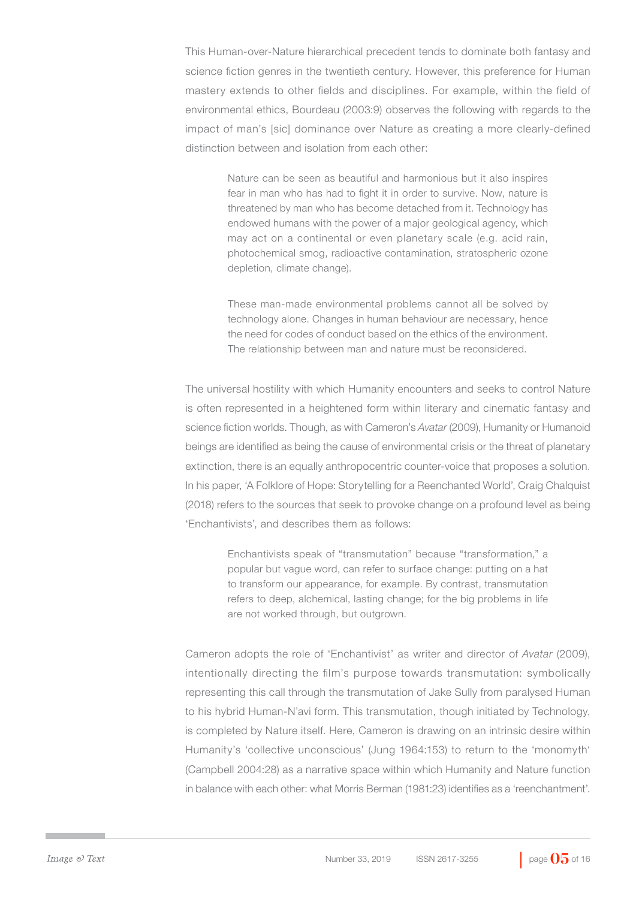This Human-over-Nature hierarchical precedent tends to dominate both fantasy and science fiction genres in the twentieth century. However, this preference for Human mastery extends to other fields and disciplines. For example, within the field of environmental ethics, Bourdeau (2003:9) observes the following with regards to the impact of man's [sic] dominance over Nature as creating a more clearly-defined distinction between and isolation from each other:

> Nature can be seen as beautiful and harmonious but it also inspires fear in man who has had to fight it in order to survive. Now, nature is threatened by man who has become detached from it. Technology has endowed humans with the power of a major geological agency, which may act on a continental or even planetary scale (e.g. acid rain, photochemical smog, radioactive contamination, stratospheric ozone depletion, climate change).

> These man-made environmental problems cannot all be solved by technology alone. Changes in human behaviour are necessary, hence the need for codes of conduct based on the ethics of the environment. The relationship between man and nature must be reconsidered.

The universal hostility with which Humanity encounters and seeks to control Nature is often represented in a heightened form within literary and cinematic fantasy and science fiction worlds. Though, as with Cameron's *Avatar* (2009), Humanity or Humanoid beings are identified as being the cause of environmental crisis or the threat of planetary extinction, there is an equally anthropocentric counter-voice that proposes a solution. In his paper, 'A Folklore of Hope: Storytelling for a Reenchanted World', Craig Chalquist (2018) refers to the sources that seek to provoke change on a profound level as being 'Enchantivists', and describes them as follows:

> Enchantivists speak of "transmutation" because "transformation," a popular but vague word, can refer to surface change: putting on a hat to transform our appearance, for example. By contrast, transmutation refers to deep, alchemical, lasting change; for the big problems in life are not worked through, but outgrown.

Cameron adopts the role of 'Enchantivist' as writer and director of *Avatar* (2009), intentionally directing the film's purpose towards transmutation: symbolically representing this call through the transmutation of Jake Sully from paralysed Human to his hybrid Human-N'avi form. This transmutation, though initiated by Technology, is completed by Nature itself. Here, Cameron is drawing on an intrinsic desire within Humanity's 'collective unconscious' (Jung 1964:153) to return to the 'monomyth' (Campbell 2004:28) as a narrative space within which Humanity and Nature function in balance with each other: what Morris Berman (1981:23) identifies as a 'reenchantment'.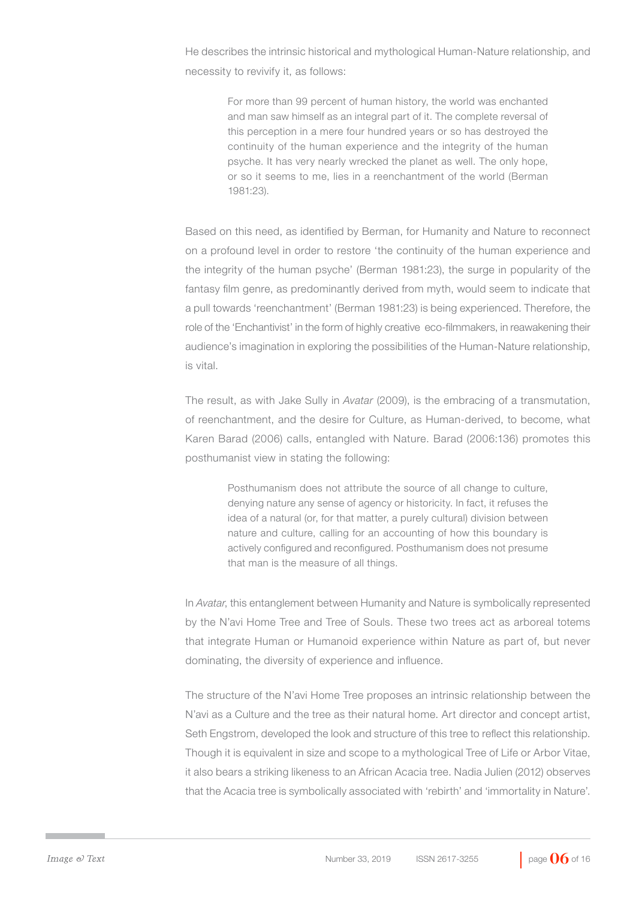He describes the intrinsic historical and mythological Human-Nature relationship, and necessity to revivify it, as follows:

> For more than 99 percent of human history, the world was enchanted and man saw himself as an integral part of it. The complete reversal of this perception in a mere four hundred years or so has destroyed the continuity of the human experience and the integrity of the human psyche. It has very nearly wrecked the planet as well. The only hope, or so it seems to me, lies in a reenchantment of the world (Berman 1981:23).

Based on this need, as identified by Berman, for Humanity and Nature to reconnect on a profound level in order to restore 'the continuity of the human experience and the integrity of the human psyche' (Berman 1981:23), the surge in popularity of the fantasy film genre, as predominantly derived from myth, would seem to indicate that a pull towards 'reenchantment' (Berman 1981:23) is being experienced. Therefore, the role of the 'Enchantivist' in the form of highly creative eco-filmmakers, in reawakening their audience's imagination in exploring the possibilities of the Human-Nature relationship, is vital.

The result, as with Jake Sully in *Avatar* (2009), is the embracing of a transmutation, of reenchantment, and the desire for Culture, as Human-derived, to become, what Karen Barad (2006) calls, entangled with Nature. Barad (2006:136) promotes this posthumanist view in stating the following:

> Posthumanism does not attribute the source of all change to culture, denying nature any sense of agency or historicity. In fact, it refuses the idea of a natural (or, for that matter, a purely cultural) division between nature and culture, calling for an accounting of how this boundary is actively configured and reconfigured. Posthumanism does not presume that man is the measure of all things.

In *Avatar*, this entanglement between Humanity and Nature is symbolically represented by the N'avi Home Tree and Tree of Souls. These two trees act as arboreal totems that integrate Human or Humanoid experience within Nature as part of, but never dominating, the diversity of experience and influence.

The structure of the N'avi Home Tree proposes an intrinsic relationship between the N'avi as a Culture and the tree as their natural home. Art director and concept artist, Seth Engstrom, developed the look and structure of this tree to reflect this relationship. Though it is equivalent in size and scope to a mythological Tree of Life or Arbor Vitae, it also bears a striking likeness to an African Acacia tree. Nadia Julien (2012) observes that the Acacia tree is symbolically associated with 'rebirth' and 'immortality in Nature'.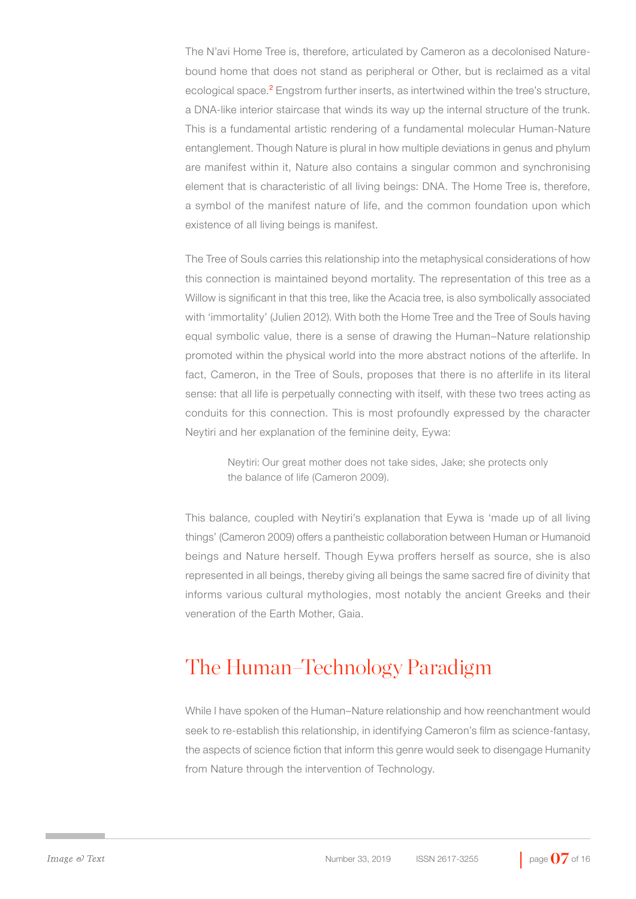The N'avi Home Tree is, therefore, articulated by Cameron as a decolonised Naturebound home that does not stand as peripheral or Other, but is reclaimed as a vital ecological space.<sup>2</sup> Engstrom further inserts, as intertwined within the tree's structure, a DNA-like interior staircase that winds its way up the internal structure of the trunk. This is a fundamental artistic rendering of a fundamental molecular Human-Nature entanglement. Though Nature is plural in how multiple deviations in genus and phylum are manifest within it, Nature also contains a singular common and synchronising element that is characteristic of all living beings: DNA. The Home Tree is, therefore, a symbol of the manifest nature of life, and the common foundation upon which existence of all living beings is manifest.

The Tree of Souls carries this relationship into the metaphysical considerations of how this connection is maintained beyond mortality. The representation of this tree as a Willow is significant in that this tree, like the Acacia tree, is also symbolically associated with 'immortality' (Julien 2012). With both the Home Tree and the Tree of Souls having equal symbolic value, there is a sense of drawing the Human–Nature relationship promoted within the physical world into the more abstract notions of the afterlife. In fact, Cameron, in the Tree of Souls, proposes that there is no afterlife in its literal sense: that all life is perpetually connecting with itself, with these two trees acting as conduits for this connection. This is most profoundly expressed by the character Neytiri and her explanation of the feminine deity, Eywa:

> Neytiri: Our great mother does not take sides, Jake; she protects only the balance of life (Cameron 2009).

This balance, coupled with Neytiri's explanation that Eywa is 'made up of all living things' (Cameron 2009) offers a pantheistic collaboration between Human or Humanoid beings and Nature herself. Though Eywa proffers herself as source, she is also represented in all beings, thereby giving all beings the same sacred fire of divinity that informs various cultural mythologies, most notably the ancient Greeks and their veneration of the Earth Mother, Gaia.

#### The Human–Technology Paradigm

While I have spoken of the Human–Nature relationship and how reenchantment would seek to re-establish this relationship, in identifying Cameron's film as science-fantasy, the aspects of science fiction that inform this genre would seek to disengage Humanity from Nature through the intervention of Technology.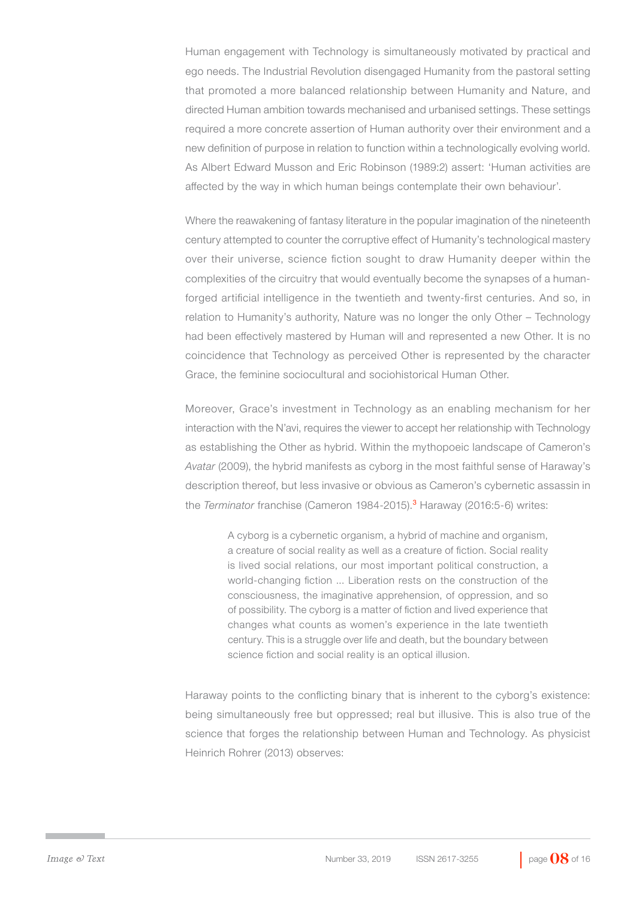Human engagement with Technology is simultaneously motivated by practical and ego needs. The Industrial Revolution disengaged Humanity from the pastoral setting that promoted a more balanced relationship between Humanity and Nature, and directed Human ambition towards mechanised and urbanised settings. These settings required a more concrete assertion of Human authority over their environment and a new definition of purpose in relation to function within a technologically evolving world. As Albert Edward Musson and Eric Robinson (1989:2) assert: 'Human activities are affected by the way in which human beings contemplate their own behaviour'.

Where the reawakening of fantasy literature in the popular imagination of the nineteenth century attempted to counter the corruptive effect of Humanity's technological mastery over their universe, science fiction sought to draw Humanity deeper within the complexities of the circuitry that would eventually become the synapses of a humanforged artificial intelligence in the twentieth and twenty-first centuries. And so, in relation to Humanity's authority, Nature was no longer the only Other – Technology had been effectively mastered by Human will and represented a new Other. It is no coincidence that Technology as perceived Other is represented by the character Grace, the feminine sociocultural and sociohistorical Human Other.

Moreover, Grace's investment in Technology as an enabling mechanism for her interaction with the N'avi, requires the viewer to accept her relationship with Technology as establishing the Other as hybrid. Within the mythopoeic landscape of Cameron's *Avatar* (2009), the hybrid manifests as cyborg in the most faithful sense of Haraway's description thereof, but less invasive or obvious as Cameron's cybernetic assassin in the *Terminator* franchise (Cameron 1984-2015).<sup>3</sup> Haraway (2016:5-6) writes:

> A cyborg is a cybernetic organism, a hybrid of machine and organism, a creature of social reality as well as a creature of fiction. Social reality is lived social relations, our most important political construction, a world-changing fiction ... Liberation rests on the construction of the consciousness, the imaginative apprehension, of oppression, and so of possibility. The cyborg is a matter of fiction and lived experience that changes what counts as women's experience in the late twentieth century. This is a struggle over life and death, but the boundary between science fiction and social reality is an optical illusion.

Haraway points to the conflicting binary that is inherent to the cyborg's existence: being simultaneously free but oppressed; real but illusive. This is also true of the science that forges the relationship between Human and Technology. As physicist Heinrich Rohrer (2013) observes: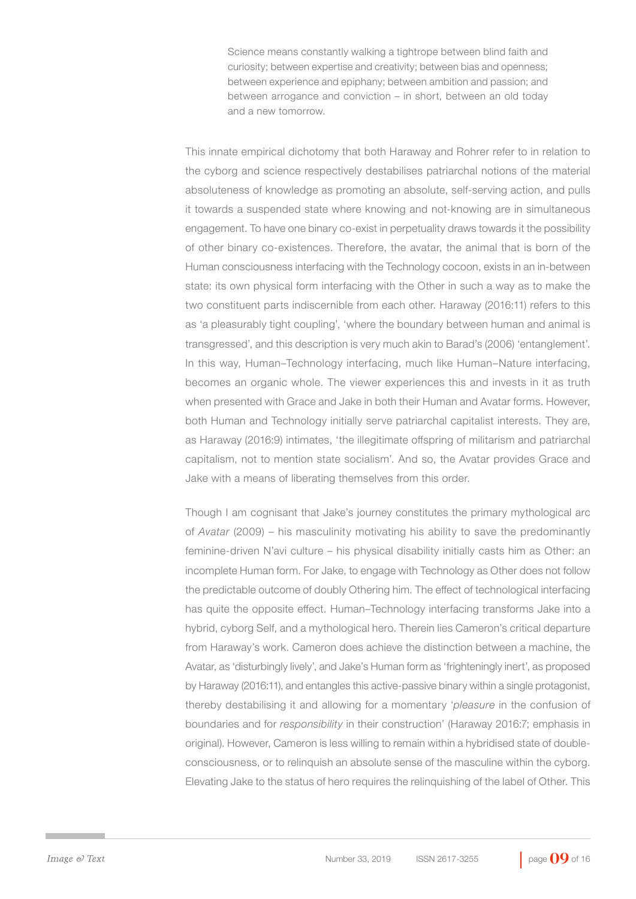Science means constantly walking a tightrope between blind faith and curiosity; between expertise and creativity; between bias and openness; between experience and epiphany; between ambition and passion; and between arrogance and conviction – in short, between an old today and a new tomorrow.

This innate empirical dichotomy that both Haraway and Rohrer refer to in relation to the cyborg and science respectively destabilises patriarchal notions of the material absoluteness of knowledge as promoting an absolute, self-serving action, and pulls it towards a suspended state where knowing and not-knowing are in simultaneous engagement. To have one binary co-exist in perpetuality draws towards it the possibility of other binary co-existences. Therefore, the avatar, the animal that is born of the Human consciousness interfacing with the Technology cocoon, exists in an in-between state: its own physical form interfacing with the Other in such a way as to make the two constituent parts indiscernible from each other. Haraway (2016:11) refers to this as 'a pleasurably tight coupling', 'where the boundary between human and animal is transgressed', and this description is very much akin to Barad's (2006) 'entanglement'. In this way, Human–Technology interfacing, much like Human–Nature interfacing, becomes an organic whole. The viewer experiences this and invests in it as truth when presented with Grace and Jake in both their Human and Avatar forms. However, both Human and Technology initially serve patriarchal capitalist interests. They are, as Haraway (2016:9) intimates, 'the illegitimate offspring of militarism and patriarchal capitalism, not to mention state socialism'. And so, the Avatar provides Grace and Jake with a means of liberating themselves from this order.

Though I am cognisant that Jake's journey constitutes the primary mythological arc of *Avatar* (2009) – his masculinity motivating his ability to save the predominantly feminine-driven N'avi culture – his physical disability initially casts him as Other: an incomplete Human form. For Jake, to engage with Technology as Other does not follow the predictable outcome of doubly Othering him. The effect of technological interfacing has quite the opposite effect. Human–Technology interfacing transforms Jake into a hybrid, cyborg Self, and a mythological hero. Therein lies Cameron's critical departure from Haraway's work. Cameron does achieve the distinction between a machine, the Avatar, as 'disturbingly lively', and Jake's Human form as 'frighteningly inert', as proposed by Haraway (2016:11), and entangles this active-passive binary within a single protagonist, thereby destabilising it and allowing for a momentary '*pleasure* in the confusion of boundaries and for *responsibility* in their construction' (Haraway 2016:7; emphasis in original). However, Cameron is less willing to remain within a hybridised state of doubleconsciousness, or to relinquish an absolute sense of the masculine within the cyborg. Elevating Jake to the status of hero requires the relinquishing of the label of Other. This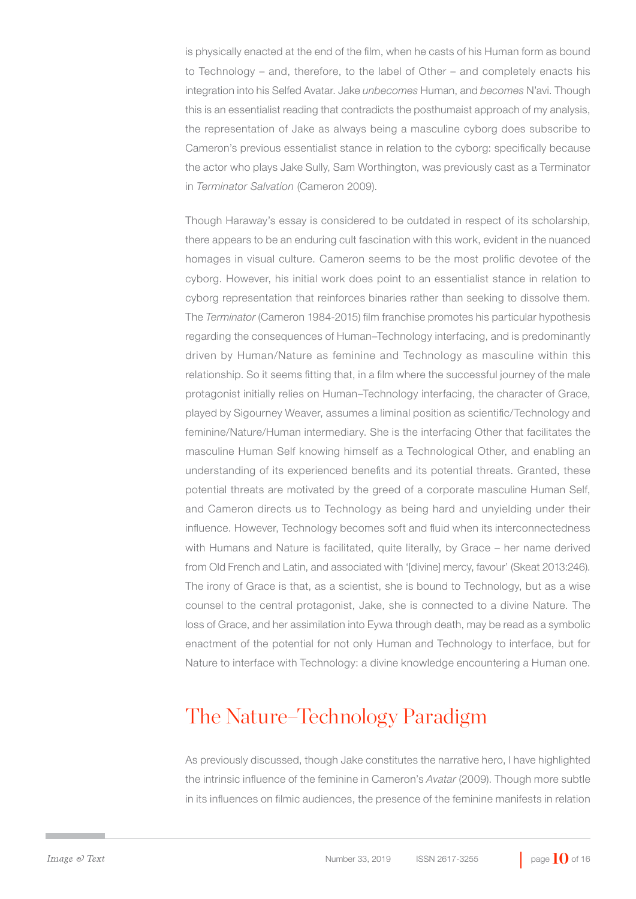is physically enacted at the end of the film, when he casts of his Human form as bound to Technology – and, therefore, to the label of Other – and completely enacts his integration into his Selfed Avatar. Jake *unbecomes* Human, and *becomes* N'avi. Though this is an essentialist reading that contradicts the posthumaist approach of my analysis, the representation of Jake as always being a masculine cyborg does subscribe to Cameron's previous essentialist stance in relation to the cyborg: specifically because the actor who plays Jake Sully, Sam Worthington, was previously cast as a Terminator in *Terminator Salvation* (Cameron 2009).

Though Haraway's essay is considered to be outdated in respect of its scholarship, there appears to be an enduring cult fascination with this work, evident in the nuanced homages in visual culture. Cameron seems to be the most prolific devotee of the cyborg. However, his initial work does point to an essentialist stance in relation to cyborg representation that reinforces binaries rather than seeking to dissolve them. The *Terminator* (Cameron 1984-2015) film franchise promotes his particular hypothesis regarding the consequences of Human–Technology interfacing, and is predominantly driven by Human/Nature as feminine and Technology as masculine within this relationship. So it seems fitting that, in a film where the successful journey of the male protagonist initially relies on Human–Technology interfacing, the character of Grace, played by Sigourney Weaver, assumes a liminal position as scientific/Technology and feminine/Nature/Human intermediary. She is the interfacing Other that facilitates the masculine Human Self knowing himself as a Technological Other, and enabling an understanding of its experienced benefits and its potential threats. Granted, these potential threats are motivated by the greed of a corporate masculine Human Self, and Cameron directs us to Technology as being hard and unyielding under their influence. However, Technology becomes soft and fluid when its interconnectedness with Humans and Nature is facilitated, quite literally, by Grace – her name derived from Old French and Latin, and associated with '[divine] mercy, favour' (Skeat 2013:246). The irony of Grace is that, as a scientist, she is bound to Technology, but as a wise counsel to the central protagonist, Jake, she is connected to a divine Nature. The loss of Grace, and her assimilation into Eywa through death, may be read as a symbolic enactment of the potential for not only Human and Technology to interface, but for Nature to interface with Technology: a divine knowledge encountering a Human one.

#### The Nature–Technology Paradigm

As previously discussed, though Jake constitutes the narrative hero, I have highlighted the intrinsic influence of the feminine in Cameron's *Avatar* (2009). Though more subtle in its influences on filmic audiences, the presence of the feminine manifests in relation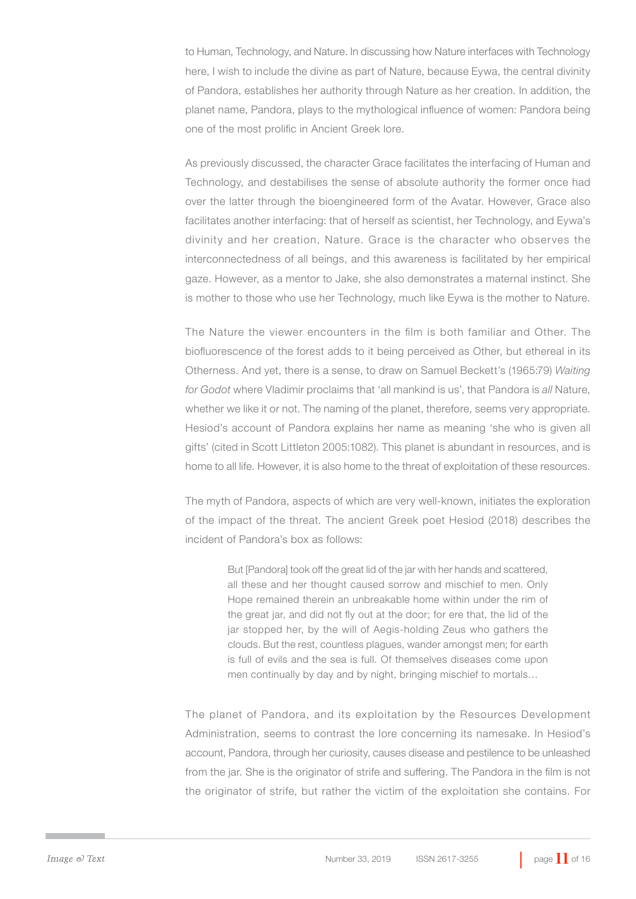to Human, Technology, and Nature. In discussing how Nature interfaces with Technology here, I wish to include the divine as part of Nature, because Eywa, the central divinity of Pandora, establishes her authority through Nature as her creation. In addition, the planet name, Pandora, plays to the mythological influence of women: Pandora being one of the most prolific in Ancient Greek lore.

As previously discussed, the character Grace facilitates the interfacing of Human and Technology, and destabilises the sense of absolute authority the former once had over the latter through the bioengineered form of the Avatar. However, Grace also facilitates another interfacing: that of herself as scientist, her Technology, and Eywa's divinity and her creation, Nature. Grace is the character who observes the interconnectedness of all beings, and this awareness is facilitated by her empirical gaze. However, as a mentor to Jake, she also demonstrates a maternal instinct. She is mother to those who use her Technology, much like Eywa is the mother to Nature.

The Nature the viewer encounters in the film is both familiar and Other. The biofluorescence of the forest adds to it being perceived as Other, but ethereal in its Otherness. And yet, there is a sense, to draw on Samuel Beckett's (1965:79) *Waiting for Godot* where Vladimir proclaims that 'all mankind is us', that Pandora is *all* Nature, whether we like it or not. The naming of the planet, therefore, seems very appropriate. Hesiod's account of Pandora explains her name as meaning 'she who is given all gifts' (cited in Scott Littleton 2005:1082). This planet is abundant in resources, and is home to all life. However, it is also home to the threat of exploitation of these resources.

The myth of Pandora, aspects of which are very well-known, initiates the exploration of the impact of the threat. The ancient Greek poet Hesiod (2018) describes the incident of Pandora's box as follows:

> But [Pandora] took off the great lid of the jar with her hands and scattered, all these and her thought caused sorrow and mischief to men. Only Hope remained therein an unbreakable home within under the rim of the great jar, and did not fly out at the door; for ere that, the lid of the jar stopped her, by the will of Aegis-holding Zeus who gathers the clouds. But the rest, countless plagues, wander amongst men; for earth is full of evils and the sea is full. Of themselves diseases come upon men continually by day and by night, bringing mischief to mortals…

The planet of Pandora, and its exploitation by the Resources Development Administration, seems to contrast the lore concerning its namesake. In Hesiod's account, Pandora, through her curiosity, causes disease and pestilence to be unleashed from the jar. She is the originator of strife and suffering. The Pandora in the film is not the originator of strife, but rather the victim of the exploitation she contains. For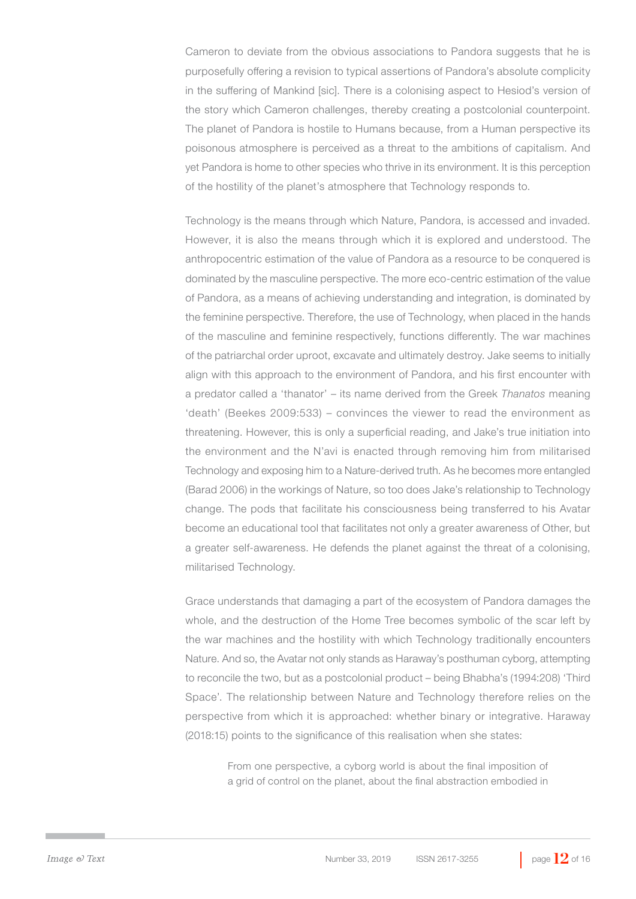Cameron to deviate from the obvious associations to Pandora suggests that he is purposefully offering a revision to typical assertions of Pandora's absolute complicity in the suffering of Mankind [sic]. There is a colonising aspect to Hesiod's version of the story which Cameron challenges, thereby creating a postcolonial counterpoint. The planet of Pandora is hostile to Humans because, from a Human perspective its poisonous atmosphere is perceived as a threat to the ambitions of capitalism. And yet Pandora is home to other species who thrive in its environment. It is this perception of the hostility of the planet's atmosphere that Technology responds to.

Technology is the means through which Nature, Pandora, is accessed and invaded. However, it is also the means through which it is explored and understood. The anthropocentric estimation of the value of Pandora as a resource to be conquered is dominated by the masculine perspective. The more eco-centric estimation of the value of Pandora, as a means of achieving understanding and integration, is dominated by the feminine perspective. Therefore, the use of Technology, when placed in the hands of the masculine and feminine respectively, functions differently. The war machines of the patriarchal order uproot, excavate and ultimately destroy. Jake seems to initially align with this approach to the environment of Pandora, and his first encounter with a predator called a 'thanator' – its name derived from the Greek *Thanatos* meaning 'death' (Beekes 2009:533) – convinces the viewer to read the environment as threatening. However, this is only a superficial reading, and Jake's true initiation into the environment and the N'avi is enacted through removing him from militarised Technology and exposing him to a Nature-derived truth. As he becomes more entangled (Barad 2006) in the workings of Nature, so too does Jake's relationship to Technology change. The pods that facilitate his consciousness being transferred to his Avatar become an educational tool that facilitates not only a greater awareness of Other, but a greater self-awareness. He defends the planet against the threat of a colonising, militarised Technology.

Grace understands that damaging a part of the ecosystem of Pandora damages the whole, and the destruction of the Home Tree becomes symbolic of the scar left by the war machines and the hostility with which Technology traditionally encounters Nature. And so, the Avatar not only stands as Haraway's posthuman cyborg, attempting to reconcile the two, but as a postcolonial product – being Bhabha's (1994:208) 'Third Space'. The relationship between Nature and Technology therefore relies on the perspective from which it is approached: whether binary or integrative. Haraway (2018:15) points to the significance of this realisation when she states:

> From one perspective, a cyborg world is about the final imposition of a grid of control on the planet, about the final abstraction embodied in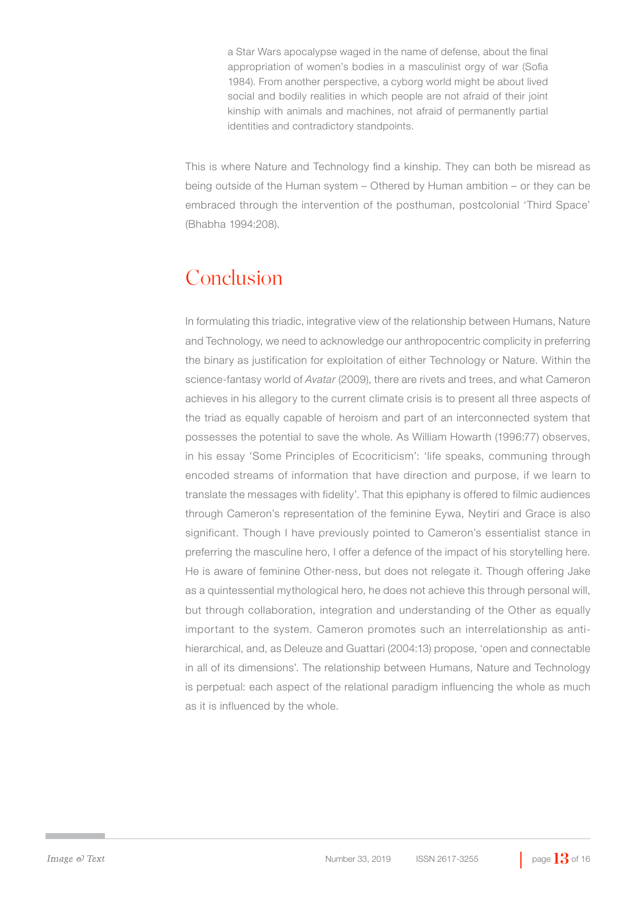a Star Wars apocalypse waged in the name of defense, about the final appropriation of women's bodies in a masculinist orgy of war (Sofia 1984). From another perspective, a cyborg world might be about lived social and bodily realities in which people are not afraid of their joint kinship with animals and machines, not afraid of permanently partial identities and contradictory standpoints.

This is where Nature and Technology find a kinship. They can both be misread as being outside of the Human system – Othered by Human ambition – or they can be embraced through the intervention of the posthuman, postcolonial 'Third Space' (Bhabha 1994:208).

### Conclusion

In formulating this triadic, integrative view of the relationship between Humans, Nature and Technology, we need to acknowledge our anthropocentric complicity in preferring the binary as justification for exploitation of either Technology or Nature. Within the science-fantasy world of *Avatar* (2009), there are rivets and trees, and what Cameron achieves in his allegory to the current climate crisis is to present all three aspects of the triad as equally capable of heroism and part of an interconnected system that possesses the potential to save the whole. As William Howarth (1996:77) observes, in his essay 'Some Principles of Ecocriticism': 'life speaks, communing through encoded streams of information that have direction and purpose, if we learn to translate the messages with fidelity'. That this epiphany is offered to filmic audiences through Cameron's representation of the feminine Eywa, Neytiri and Grace is also significant. Though I have previously pointed to Cameron's essentialist stance in preferring the masculine hero, I offer a defence of the impact of his storytelling here. He is aware of feminine Other-ness, but does not relegate it. Though offering Jake as a quintessential mythological hero, he does not achieve this through personal will, but through collaboration, integration and understanding of the Other as equally important to the system. Cameron promotes such an interrelationship as antihierarchical, and, as Deleuze and Guattari (2004:13) propose, 'open and connectable in all of its dimensions'. The relationship between Humans, Nature and Technology is perpetual: each aspect of the relational paradigm influencing the whole as much as it is influenced by the whole.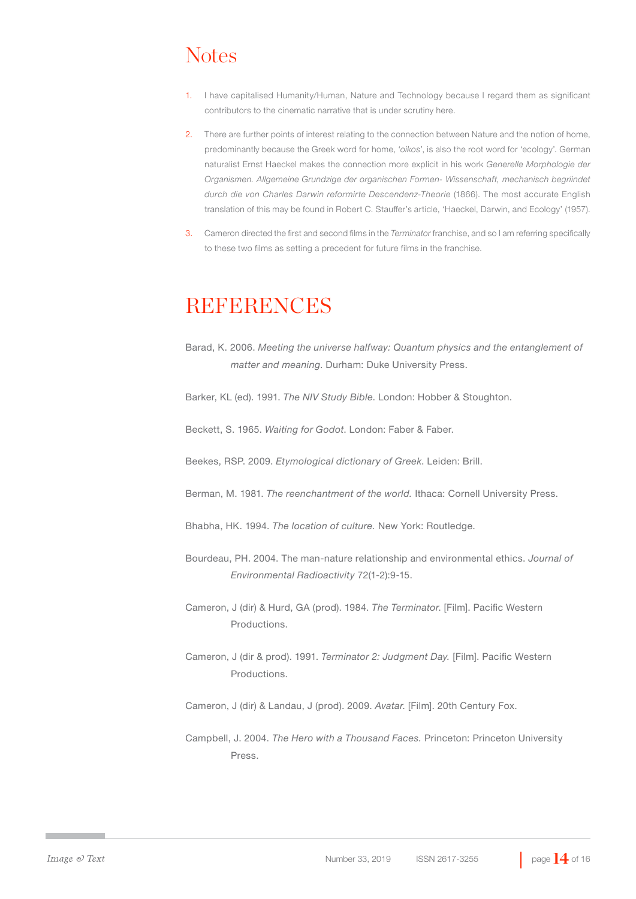## **Notes**

- 1. I have capitalised Humanity/Human, Nature and Technology because I regard them as significant contributors to the cinematic narrative that is under scrutiny here.
- 2. There are further points of interest relating to the connection between Nature and the notion of home, predominantly because the Greek word for home, '*oikos*', is also the root word for 'ecology'. German naturalist Ernst Haeckel makes the connection more explicit in his work *Generelle Morphologie der Organismen. Allgemeine Grundzige der organischen Formen- Wissenschaft, mechanisch begriindet durch die von Charles Darwin reformirte Descendenz-Theorie* (1866). The most accurate English translation of this may be found in Robert C. Stauffer's article, 'Haeckel, Darwin, and Ecology' (1957).
- 3. Cameron directed the first and second films in the *Terminator* franchise, and so I am referring specifically to these two films as setting a precedent for future films in the franchise.

#### **REFERENCES**

- Barad, K. 2006. *Meeting the universe halfway: Quantum physics and the entanglement of matter and meaning*. Durham: Duke University Press.
- Barker, KL (ed). 1991. *The NIV Study Bible*. London: Hobber & Stoughton.
- Beckett, S. 1965. *Waiting for Godot*. London: Faber & Faber.
- Beekes, RSP. 2009. *Etymological dictionary of Greek*. Leiden: Brill.
- Berman, M. 1981. *The reenchantment of the world.* Ithaca: Cornell University Press.
- Bhabha, HK. 1994. *The location of culture.* New York: Routledge.
- Bourdeau, PH. 2004. The man-nature relationship and environmental ethics. *Journal of Environmental Radioactivity* 72(1-2):9-15.
- Cameron, J (dir) & Hurd, GA (prod). 1984. *The Terminator*. [Film]. Pacific Western Productions.
- Cameron, J (dir & prod). 1991. *Terminator 2: Judgment Day.* [Film]. Pacific Western Productions.
- Cameron, J (dir) & Landau, J (prod). 2009. *Avatar*. [Film]. 20th Century Fox.
- Campbell, J. 2004. *The Hero with a Thousand Faces.* Princeton: Princeton University Press.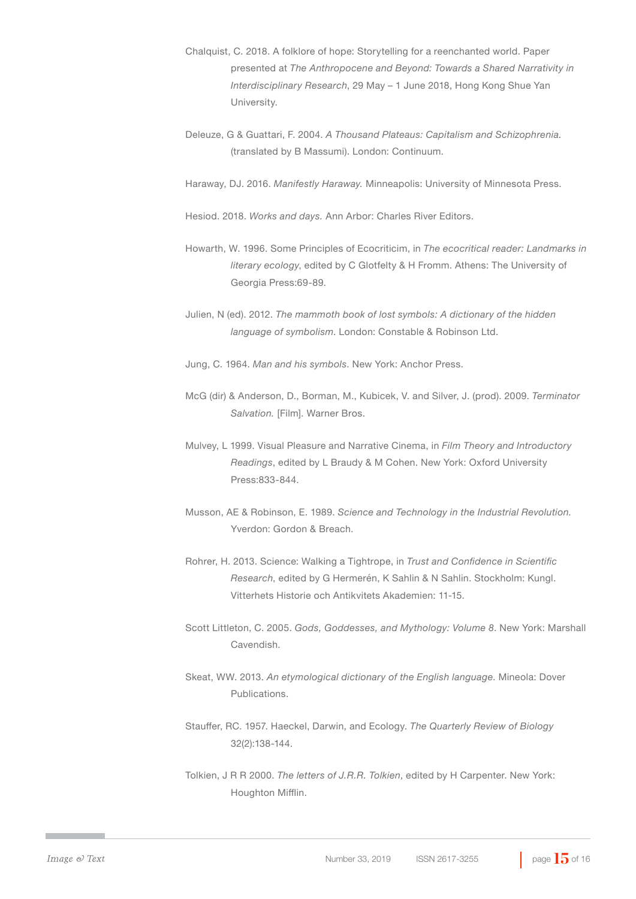- Chalquist, C. 2018. A folklore of hope: Storytelling for a reenchanted world. Paper presented at *The Anthropocene and Beyond: Towards a Shared Narrativity in Interdisciplinary Research*, 29 May – 1 June 2018, Hong Kong Shue Yan University.
- Deleuze, G & Guattari, F. 2004. *A Thousand Plateaus: Capitalism and Schizophrenia.*  (translated by B Massumi). London: Continuum.
- Haraway, DJ. 2016. *Manifestly Haraway.* Minneapolis: University of Minnesota Press.
- Hesiod. 2018. *Works and days.* Ann Arbor: Charles River Editors.
- Howarth, W. 1996. Some Principles of Ecocriticim, in *The ecocritical reader: Landmarks in literary ecology*, edited by C Glotfelty & H Fromm. Athens: The University of Georgia Press:69-89.
- Julien, N (ed). 2012. *The mammoth book of lost symbols: A dictionary of the hidden language of symbolism*. London: Constable & Robinson Ltd.
- Jung, C. 1964. *Man and his symbols*. New York: Anchor Press.
- McG (dir) & Anderson, D., Borman, M., Kubicek, V. and Silver, J. (prod). 2009. *Terminator Salvation.* [Film]. Warner Bros.
- Mulvey, L 1999. Visual Pleasure and Narrative Cinema, in *Film Theory and Introductory Readings*, edited by L Braudy & M Cohen. New York: Oxford University Press:833-844.
- Musson, AE & Robinson, E. 1989. *Science and Technology in the Industrial Revolution.*  Yverdon: Gordon & Breach.
- Rohrer, H. 2013. Science: Walking a Tightrope, in *Trust and Confidence in Scientific Research*, edited by G Hermerén, K Sahlin & N Sahlin. Stockholm: Kungl. Vitterhets Historie och Antikvitets Akademien: 11-15.
- Scott Littleton, C. 2005. *Gods, Goddesses, and Mythology: Volume 8*. New York: Marshall Cavendish.
- Skeat, WW. 2013. *An etymological dictionary of the English language*. Mineola: Dover Publications.
- Stauffer, RC. 1957. Haeckel, Darwin, and Ecology. *The Quarterly Review of Biology*  32(2):138-144.
- Tolkien, J R R 2000. *The letters of J.R.R. Tolkien*, edited by H Carpenter. New York: Houghton Mifflin.